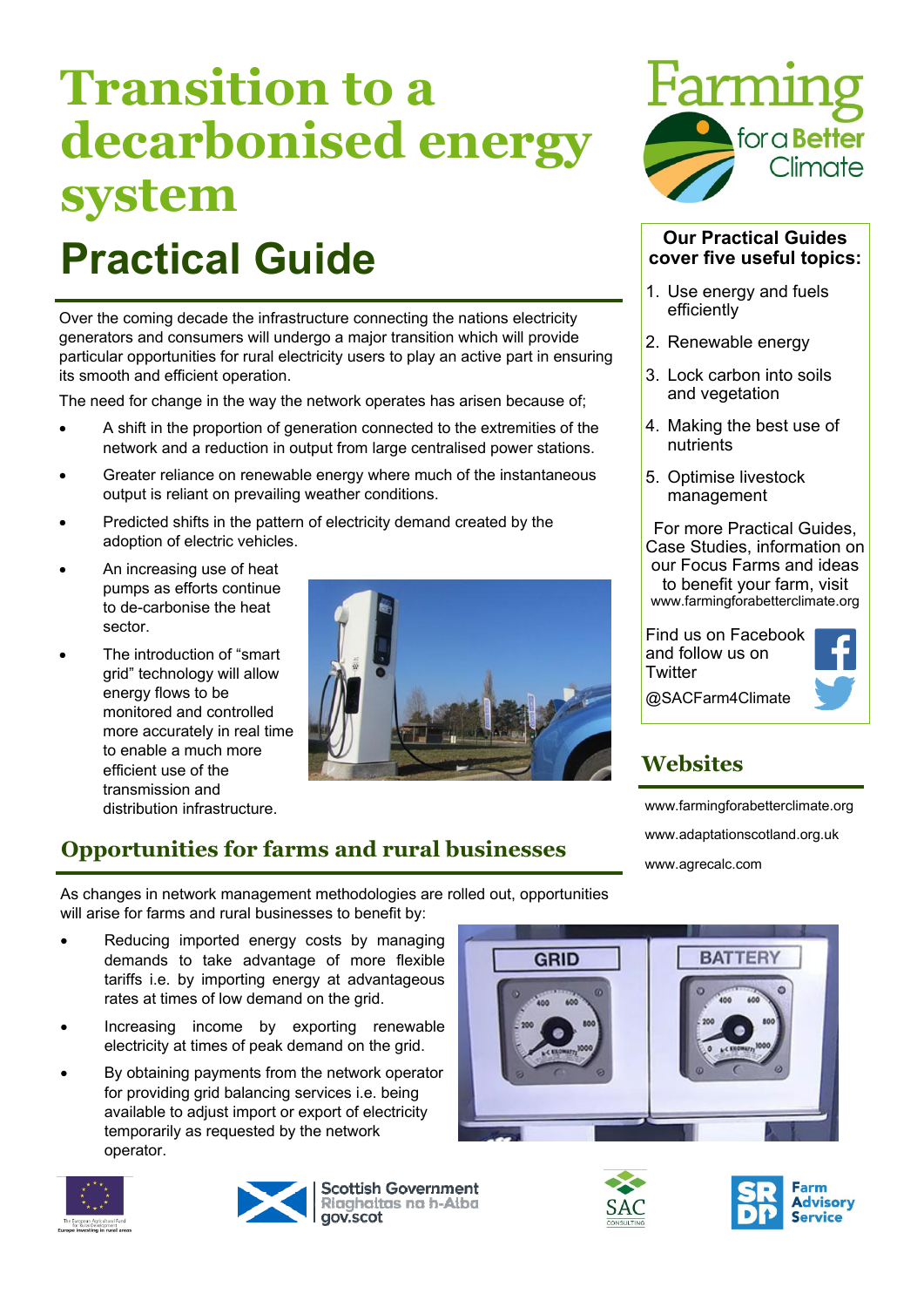# **Transition to a decarbonised energy system**

# **Practical Guide**

Over the coming decade the infrastructure connecting the nations electricity generators and consumers will undergo a major transition which will provide particular opportunities for rural electricity users to play an active part in ensuring its smooth and efficient operation.

The need for change in the way the network operates has arisen because of;

- A shift in the proportion of generation connected to the extremities of the network and a reduction in output from large centralised power stations.
- Greater reliance on renewable energy where much of the instantaneous output is reliant on prevailing weather conditions.
- Predicted shifts in the pattern of electricity demand created by the adoption of electric vehicles.
- An increasing use of heat pumps as efforts continue to de-carbonise the heat sector.
- The introduction of "smart grid" technology will allow energy flows to be monitored and controlled more accurately in real time to enable a much more efficient use of the transmission and



# **Opportunities for farms and rural businesses**



### **Our Practical Guides cover five useful topics:**

- 1. Use energy and fuels efficiently
- 2. Renewable energy
- 3. Lock carbon into soils and vegetation
- 4. Making the best use of nutrients
- 5. Optimise livestock management

For more Practical Guides, Case Studies, information on our Focus Farms and ideas to benefit your farm, visit www.farmingforabetterclimate.org

Find us on Facebook and follow us on **Twitter** @SACFarm4Climate



**Websites** 

distribution infrastructure. www.farmingforabetterclimate.org www.adaptationscotland.org.uk www.agrecalc.com

As changes in network management methodologies are rolled out, opportunities will arise for farms and rural businesses to benefit by:

- Reducing imported energy costs by managing demands to take advantage of more flexible tariffs i.e. by importing energy at advantageous rates at times of low demand on the grid.
- Increasing income by exporting renewable electricity at times of peak demand on the grid.
- By obtaining payments from the network operator for providing grid balancing services i.e. being available to adjust import or export of electricity temporarily as requested by the network operator.





**Scottish Government** Riaghaltas na h-Alba gov.scot